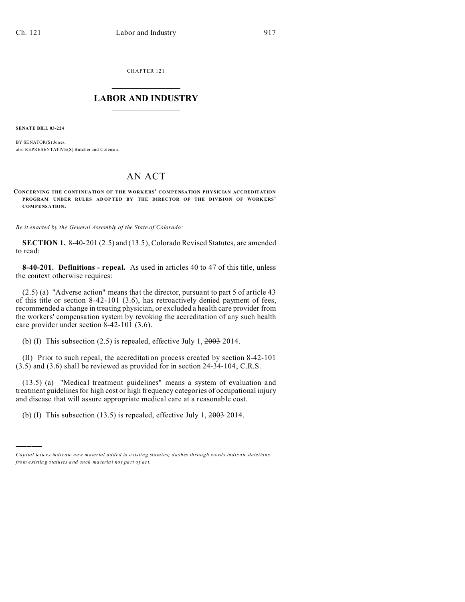CHAPTER 121  $\overline{\phantom{a}}$  , where  $\overline{\phantom{a}}$ 

## **LABOR AND INDUSTRY**  $\frac{1}{\sqrt{2}}$  ,  $\frac{1}{\sqrt{2}}$  ,  $\frac{1}{\sqrt{2}}$  ,  $\frac{1}{\sqrt{2}}$  ,  $\frac{1}{\sqrt{2}}$  ,  $\frac{1}{\sqrt{2}}$

**SENATE BILL 03-224**

)))))

BY SENATOR(S) Jones: also REPRESENTATIVE(S) Butcher and Coleman.

## AN ACT

**CONCERNING THE CONTINUATION OF THE WORK ERS' COMPENSATION PHYSICIAN ACCREDITATION PROGRAM UNDER RULES AD OP TED BY THE DIRECTOR OF THE DIVISION OF WORK ERS' COMPENSATION.**

*Be it enacted by the General Assembly of the State of Colorado:*

**SECTION 1.** 8-40-201 (2.5) and (13.5), Colorado Revised Statutes, are amended to read:

**8-40-201. Definitions - repeal.** As used in articles 40 to 47 of this title, unless the context otherwise requires:

(2.5) (a) "Adverse action" means that the director, pursuant to part 5 of article 43 of this title or section 8-42-101 (3.6), has retroactively denied payment of fees, recommended a change in treating physician, or excluded a health care provider from the workers' compensation system by revoking the accreditation of any such health care provider under section 8-42-101 (3.6).

(b) (I) This subsection (2.5) is repealed, effective July 1,  $2003$  2014.

(II) Prior to such repeal, the accreditation process created by section 8-42-101 (3.5) and (3.6) shall be reviewed as provided for in section 24-34-104, C.R.S.

(13.5) (a) "Medical treatment guidelines" means a system of evaluation and treatment guidelines for high cost or high frequency categories of occupational injury and disease that will assure appropriate medical care at a reasonable cost.

(b) (I) This subsection (13.5) is repealed, effective July 1,  $2003$  2014.

*Capital letters indicate new material added to existing statutes; dashes through words indicate deletions from e xistin g statu tes a nd such ma teria l no t pa rt of ac t.*